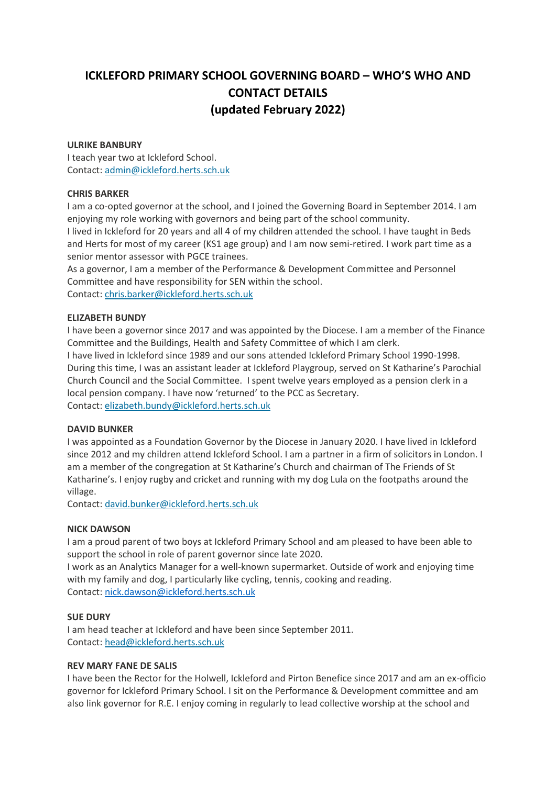# **ICKLEFORD PRIMARY SCHOOL GOVERNING BOARD – WHO'S WHO AND CONTACT DETAILS (updated February 2022)**

# **ULRIKE BANBURY**

I teach year two at Ickleford School. Contact: [admin@ickleford.herts.sch.uk](mailto:admin@ickleford.herts.sch.uk)

# **CHRIS BARKER**

I am a co-opted governor at the school, and I joined the Governing Board in September 2014. I am enjoying my role working with governors and being part of the school community. I lived in Ickleford for 20 years and all 4 of my children attended the school. I have taught in Beds and Herts for most of my career (KS1 age group) and I am now semi-retired. I work part time as a senior mentor assessor with PGCE trainees.

As a governor, I am a member of the Performance & Development Committee and Personnel Committee and have responsibility for SEN within the school. Contact: [chris.barker@ickleford.herts.sch.uk](mailto:chris.barker@ickleford.herts.sch.uk)

# **ELIZABETH BUNDY**

I have been a governor since 2017 and was appointed by the Diocese. I am a member of the Finance Committee and the Buildings, Health and Safety Committee of which I am clerk.

I have lived in Ickleford since 1989 and our sons attended Ickleford Primary School 1990-1998. During this time, I was an assistant leader at Ickleford Playgroup, served on St Katharine's Parochial Church Council and the Social Committee. I spent twelve years employed as a pension clerk in a local pension company. I have now 'returned' to the PCC as Secretary. Contact: [elizabeth.bundy@ickleford.herts.sch.uk](mailto:elizabeth.bundy@ickleford.herts.sch.uk)

# **DAVID BUNKER**

I was appointed as a Foundation Governor by the Diocese in January 2020. I have lived in Ickleford since 2012 and my children attend Ickleford School. I am a partner in a firm of solicitors in London. I am a member of the congregation at St Katharine's Church and chairman of The Friends of St Katharine's. I enjoy rugby and cricket and running with my dog Lula on the footpaths around the village.

Contact: [david.bunker@ickleford.herts.sch.uk](mailto:david.bunker@ickleford.herts.sch.uk)

# **NICK DAWSON**

I am a proud parent of two boys at Ickleford Primary School and am pleased to have been able to support the school in role of parent governor since late 2020.

I work as an Analytics Manager for a well-known supermarket. Outside of work and enjoying time with my family and dog, I particularly like cycling, tennis, cooking and reading. Contact: [nick.dawson@ickleford.herts.sch.uk](mailto:nick.dawson@ickleford.herts.sch.uk)

# **SUE DURY**

I am head teacher at Ickleford and have been since September 2011. Contact: [head@ickleford.herts.sch.uk](mailto:head@ickleford.herts.sch.uk)

# **REV MARY FANE DE SALIS**

I have been the Rector for the Holwell, Ickleford and Pirton Benefice since 2017 and am an ex-officio governor for Ickleford Primary School. I sit on the Performance & Development committee and am also link governor for R.E. I enjoy coming in regularly to lead collective worship at the school and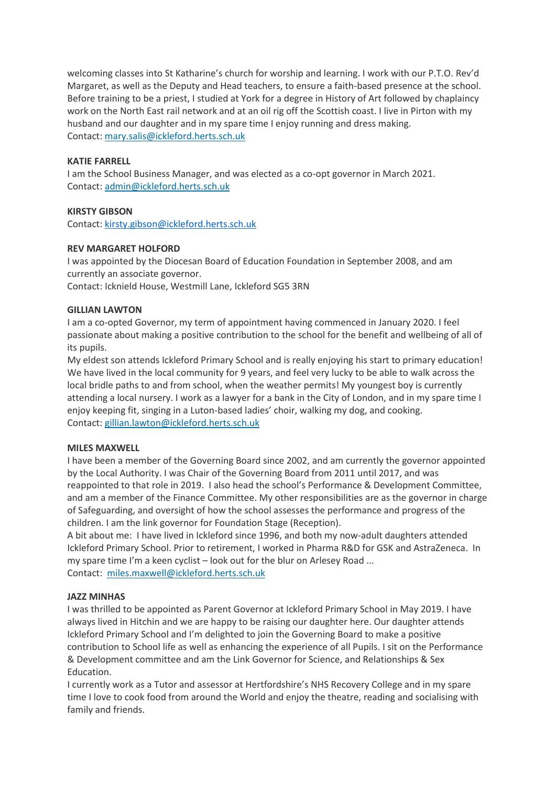welcoming classes into St Katharine's church for worship and learning. I work with our P.T.O. Rev'd Margaret, as well as the Deputy and Head teachers, to ensure a faith-based presence at the school. Before training to be a priest, I studied at York for a degree in History of Art followed by chaplaincy work on the North East rail network and at an oil rig off the Scottish coast. I live in Pirton with my husband and our daughter and in my spare time I enjoy running and dress making. Contact: [mary.salis@ickleford.herts.sch.uk](mailto:mary.salis@ickleford.herts.sch.uk)

# **KATIE FARRELL**

I am the School Business Manager, and was elected as a co-opt governor in March 2021. Contact: [admin@ickleford.herts.sch.uk](mailto:admin@ickleford.herts.sch.uk)

# **KIRSTY GIBSON**

Contact: [kirsty.gibson@ickleford.herts.sch.uk](mailto:kirsty.gibson@ickleford.herts.sch.uk)

# **REV MARGARET HOLFORD**

I was appointed by the Diocesan Board of Education Foundation in September 2008, and am currently an associate governor. Contact: Icknield House, Westmill Lane, Ickleford SG5 3RN

# **GILLIAN LAWTON**

I am a co-opted Governor, my term of appointment having commenced in January 2020. I feel passionate about making a positive contribution to the school for the benefit and wellbeing of all of its pupils.

My eldest son attends Ickleford Primary School and is really enjoying his start to primary education! We have lived in the local community for 9 years, and feel very lucky to be able to walk across the local bridle paths to and from school, when the weather permits! My youngest boy is currently attending a local nursery. I work as a lawyer for a bank in the City of London, and in my spare time I enjoy keeping fit, singing in a Luton-based ladies' choir, walking my dog, and cooking. Contact: [gillian.lawton@ickleford.herts.sch.uk](mailto:gillian.lawton@ickleford.herts.sch.uk)

# **MILES MAXWELL**

I have been a member of the Governing Board since 2002, and am currently the governor appointed by the Local Authority. I was Chair of the Governing Board from 2011 until 2017, and was reappointed to that role in 2019. I also head the school's Performance & Development Committee, and am a member of the Finance Committee. My other responsibilities are as the governor in charge of Safeguarding, and oversight of how the school assesses the performance and progress of the children. I am the link governor for Foundation Stage (Reception).

A bit about me: I have lived in Ickleford since 1996, and both my now-adult daughters attended Ickleford Primary School. Prior to retirement, I worked in Pharma R&D for GSK and AstraZeneca. In my spare time I'm a keen cyclist – look out for the blur on Arlesey Road ... Contact: [miles.maxwell@ickleford.herts.sch.uk](mailto:miles.p.maxwell@gsk.com)

# **JAZZ MINHAS**

I was thrilled to be appointed as Parent Governor at Ickleford Primary School in May 2019. I have always lived in Hitchin and we are happy to be raising our daughter here. Our daughter attends Ickleford Primary School and I'm delighted to join the Governing Board to make a positive contribution to School life as well as enhancing the experience of all Pupils. I sit on the Performance & Development committee and am the Link Governor for Science, and Relationships & Sex Education.

I currently work as a Tutor and assessor at Hertfordshire's NHS Recovery College and in my spare time I love to cook food from around the World and enjoy the theatre, reading and socialising with family and friends.